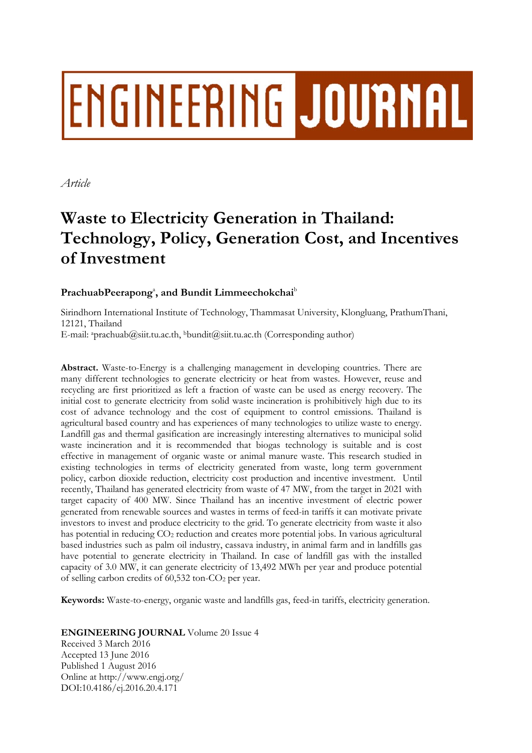# ENGINEERING JOURNAL

*Article* 

## **Waste to Electricity Generation in Thailand: Technology, Policy, Generation Cost, and Incentives of Investment**

### PrachuabPeerapong<sup>a</sup>, and Bundit Limmeechokchai<sup>b</sup>

Sirindhorn International Institute of Technology, Thammasat University, Klongluang, PrathumThani, 12121, Thailand

E-mail: aprachuab@siit.tu.ac.th, bbundit@siit.tu.ac.th (Corresponding author)

**Abstract.** Waste-to-Energy is a challenging management in developing countries. There are many different technologies to generate electricity or heat from wastes. However, reuse and recycling are first prioritized as left a fraction of waste can be used as energy recovery. The initial cost to generate electricity from solid waste incineration is prohibitively high due to its cost of advance technology and the cost of equipment to control emissions. Thailand is agricultural based country and has experiences of many technologies to utilize waste to energy. Landfill gas and thermal gasification are increasingly interesting alternatives to municipal solid waste incineration and it is recommended that biogas technology is suitable and is cost effective in management of organic waste or animal manure waste. This research studied in existing technologies in terms of electricity generated from waste, long term government policy, carbon dioxide reduction, electricity cost production and incentive investment. Until recently, Thailand has generated electricity from waste of 47 MW, from the target in 2021 with target capacity of 400 MW. Since Thailand has an incentive investment of electric power generated from renewable sources and wastes in terms of feed-in tariffs it can motivate private investors to invest and produce electricity to the grid. To generate electricity from waste it also has potential in reducing CO2 reduction and creates more potential jobs. In various agricultural based industries such as palm oil industry, cassava industry, in animal farm and in landfills gas have potential to generate electricity in Thailand. In case of landfill gas with the installed capacity of 3.0 MW, it can generate electricity of 13,492 MWh per year and produce potential of selling carbon credits of  $60,532$  ton- $CO<sub>2</sub>$  per year.

**Keywords:** Waste-to-energy, organic waste and landfills gas, feed-in tariffs, electricity generation.

**ENGINEERING JOURNAL** Volume 20 Issue 4

Received 3 March 2016 Accepted 13 June 2016 Published 1 August 2016 Online at http://www.engj.org/ DOI:10.4186/ej.2016.20.4.171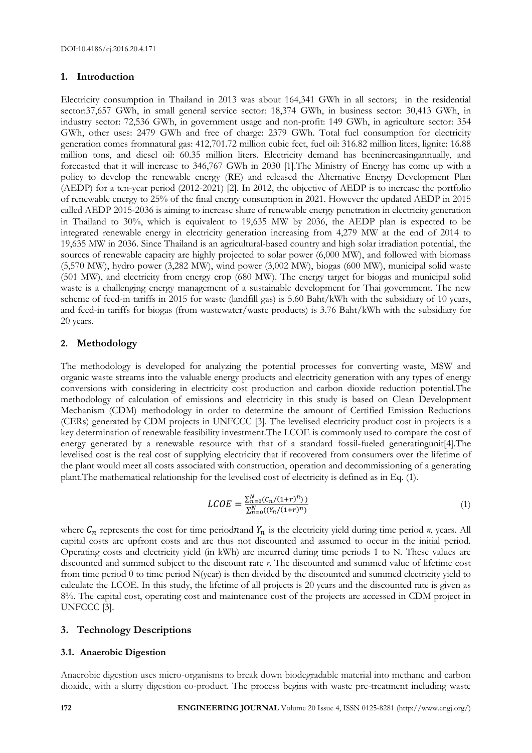#### **1. Introduction**

Electricity consumption in Thailand in 2013 was about 164,341 GWh in all sectors; in the residential sector:37,657 GWh, in small general service sector: 18,374 GWh, in business sector: 30,413 GWh, in industry sector: 72,536 GWh, in government usage and non-profit: 149 GWh, in agriculture sector: 354 GWh, other uses: 2479 GWh and free of charge: 2379 GWh. Total fuel consumption for electricity generation comes fromnatural gas: 412,701.72 million cubic feet, fuel oil: 316.82 million liters, lignite: 16.88 million tons, and diesel oil: 60.35 million liters. Electricity demand has beenincreasingannually, and forecasted that it will increase to 346,767 GWh in 2030 [1].The Ministry of Energy has come up with a policy to develop the renewable energy (RE) and released the Alternative Energy Development Plan (AEDP) for a ten-year period (2012-2021) [2]. In 2012, the objective of AEDP is to increase the portfolio of renewable energy to 25% of the final energy consumption in 2021. However the updated AEDP in 2015 called AEDP 2015-2036 is aiming to increase share of renewable energy penetration in electricity generation in Thailand to 30%, which is equivalent to 19,635 MW by 2036, the AEDP plan is expected to be integrated renewable energy in electricity generation increasing from 4,279 MW at the end of 2014 to 19,635 MW in 2036. Since Thailand is an agricultural-based country and high solar irradiation potential, the sources of renewable capacity are highly projected to solar power (6,000 MW), and followed with biomass (5,570 MW), hydro power (3,282 MW), wind power (3,002 MW), biogas (600 MW), municipal solid waste (501 MW), and electricity from energy crop (680 MW). The energy target for biogas and municipal solid waste is a challenging energy management of a sustainable development for Thai government. The new scheme of feed-in tariffs in 2015 for waste (landfill gas) is 5.60 Baht/kWh with the subsidiary of 10 years, and feed-in tariffs for biogas (from wastewater/waste products) is 3.76 Baht/kWh with the subsidiary for 20 years.

#### **2. Methodology**

The methodology is developed for analyzing the potential processes for converting waste, MSW and organic waste streams into the valuable energy products and electricity generation with any types of energy conversions with considering in electricity cost production and carbon dioxide reduction potential.The methodology of calculation of emissions and electricity in this study is based on Clean Development Mechanism (CDM) methodology in order to determine the amount of Certified Emission Reductions (CERs) generated by CDM projects in UNFCCC [3]. The levelised electricity product cost in projects is a key determination of renewable feasibility investment.The LCOE is commonly used to compare the cost of energy generated by a renewable resource with that of a standard fossil-fueled generatingunit[4].The levelised cost is the real cost of supplying electricity that if recovered from consumers over the lifetime of the plant would meet all costs associated with construction, operation and decommissioning of a generating plant.The mathematical relationship for the levelised cost of electricity is defined as in Eq. (1).

$$
LCOE = \frac{\sum_{n=0}^{N} (C_n/(1+r)^n)}{\sum_{n=0}^{N} ((Y_n/(1+r)^n))}
$$
\n(1)

where  $C_n$  represents the cost for time periodnand  $Y_n$  is the electricity yield during time period *n*, years. All capital costs are upfront costs and are thus not discounted and assumed to occur in the initial period. Operating costs and electricity yield (in kWh) are incurred during time periods 1 to N. These values are discounted and summed subject to the discount rate *r*. The discounted and summed value of lifetime cost from time period 0 to time period N(year) is then divided by the discounted and summed electricity yield to calculate the LCOE. In this study, the lifetime of all projects is 20 years and the discounted rate is given as 8%. The capital cost, operating cost and maintenance cost of the projects are accessed in CDM project in UNFCCC [3].

#### **3. Technology Descriptions**

#### **3.1. Anaerobic Digestion**

Anaerobic digestion uses micro-organisms to break down biodegradable material into methane and carbon dioxide, with a slurry digestion co-product. The process begins with waste pre-treatment including waste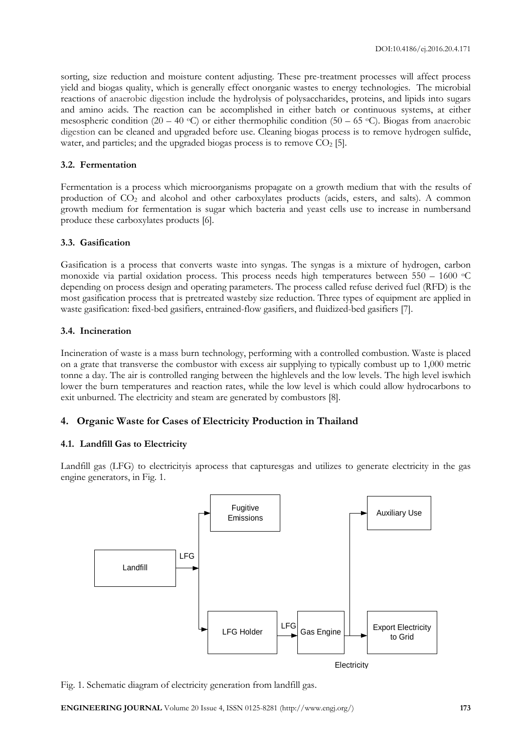sorting, size reduction and moisture content adjusting. These pre-treatment processes will affect process yield and biogas quality, which is generally effect onorganic wastes to energy technologies. The microbial reactions of anaerobic digestion include the hydrolysis of polysaccharides, proteins, and lipids into sugars and amino acids. The reaction can be accomplished in either batch or continuous systems, at either mesospheric condition (20 – 40 °C) or either thermophilic condition (50 – 65 °C). Biogas from anaerobic digestion can be cleaned and upgraded before use. Cleaning biogas process is to remove hydrogen sulfide, water, and particles; and the upgraded biogas process is to remove  $CO<sub>2</sub>$  [5].

#### **3.2. Fermentation**

Fermentation is a process which microorganisms propagate on a growth medium that with the results of production of CO<sub>2</sub> and alcohol and other carboxylates products (acids, esters, and salts). A common growth medium for fermentation is sugar which bacteria and yeast cells use to increase in numbersand produce these carboxylates products [6].

#### **3.3. Gasification**

Gasification is a process that converts waste into syngas. The syngas is a mixture of hydrogen, carbon monoxide via partial oxidation process. This process needs high temperatures between  $550 - 1600$   $\circ$ C depending on process design and operating parameters. The process called refuse derived fuel (RFD) is the most gasification process that is pretreated wasteby size reduction. Three types of equipment are applied in waste gasification: fixed-bed gasifiers, entrained-flow gasifiers, and fluidized-bed gasifiers [7].

#### **3.4. Incineration**

Incineration of waste is a mass burn technology, performing with a controlled combustion. Waste is placed on a grate that transverse the combustor with excess air supplying to typically combust up to 1,000 metric tonne a day. The air is controlled ranging between the highlevels and the low levels. The high level iswhich lower the burn temperatures and reaction rates, while the low level is which could allow hydrocarbons to exit unburned. The electricity and steam are generated by combustors [8].

#### **4. Organic Waste for Cases of Electricity Production in Thailand**

#### **4.1. Landfill Gas to Electricity**

Landfill gas (LFG) to electricityis aprocess that capturesgas and utilizes to generate electricity in the gas engine generators, in Fig. 1.



Fig. 1. Schematic diagram of electricity generation from landfill gas.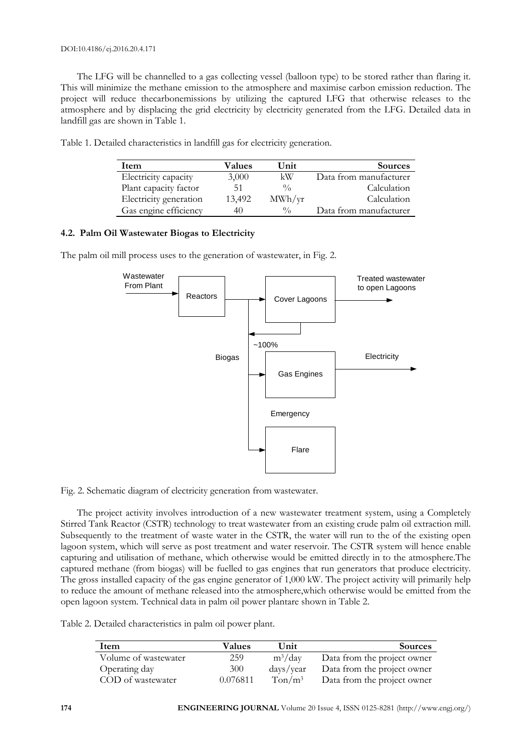The LFG will be channelled to a gas collecting vessel (balloon type) to be stored rather than flaring it. This will minimize the methane emission to the atmosphere and maximise carbon emission reduction. The project will reduce thecarbonemissions by utilizing the captured LFG that otherwise releases to the atmosphere and by displacing the grid electricity by electricity generated from the LFG. Detailed data in landfill gas are shown in Table 1.

| Item                   | Values | Unit          | Sources                |
|------------------------|--------|---------------|------------------------|
| Electricity capacity   | 3,000  | kW            | Data from manufacturer |
| Plant capacity factor  | 51     | $\frac{0}{0}$ | Calculation            |
| Electricity generation | 13,492 | MWh/yr        | Calculation            |
| Gas engine efficiency  | 40     | $\frac{0}{0}$ | Data from manufacturer |

Table 1. Detailed characteristics in landfill gas for electricity generation.

#### **4.2. Palm Oil Wastewater Biogas to Electricity**

The palm oil mill process uses to the generation of wastewater, in Fig. 2.



Fig. 2. Schematic diagram of electricity generation from wastewater.

The project activity involves introduction of a new wastewater treatment system, using a Completely Stirred Tank Reactor (CSTR) technology to treat wastewater from an existing crude palm oil extraction mill. Subsequently to the treatment of waste water in the CSTR, the water will run to the of the existing open lagoon system, which will serve as post treatment and water reservoir. The CSTR system will hence enable capturing and utilisation of methane, which otherwise would be emitted directly in to the atmosphere.The captured methane (from biogas) will be fuelled to gas engines that run generators that produce electricity. The gross installed capacity of the gas engine generator of 1,000 kW. The project activity will primarily help to reduce the amount of methane released into the atmosphere,which otherwise would be emitted from the open lagoon system. Technical data in palm oil power plantare shown in Table 2.

Table 2. Detailed characteristics in palm oil power plant.

| Item                 | Values   | Unit                       | Sources                     |
|----------------------|----------|----------------------------|-----------------------------|
| Volume of wastewater | 259      | $m^3$ /day                 | Data from the project owner |
| Operating day        | 300      | $\frac{days}{year}$        | Data from the project owner |
| COD of wastewater    | 0.076811 | $T \text{on} / \text{m}^3$ | Data from the project owner |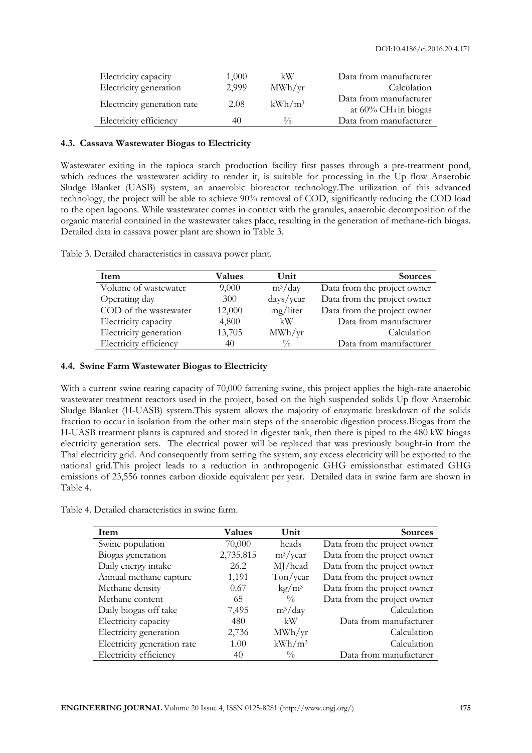| Electricity capacity        | 1,000 | kW                     | Data from manufacturer                                        |
|-----------------------------|-------|------------------------|---------------------------------------------------------------|
| Electricity generation      | 2,999 | $\text{MWh}/\text{yr}$ | Calculation                                                   |
| Electricity generation rate | 2.08  | $kWh/m^3$              | Data from manufacturer<br>at $60\%$ CH <sub>4</sub> in biogas |
| Electricity efficiency      | 40    | $\frac{0}{0}$          | Data from manufacturer                                        |

#### **4.3. Cassava Wastewater Biogas to Electricity**

Wastewater exiting in the tapioca starch production facility first passes through a pre-treatment pond, which reduces the wastewater acidity to render it, is suitable for processing in the Up flow Anaerobic Sludge Blanket (UASB) system, an anaerobic bioreactor technology.The utilization of this advanced technology, the project will be able to achieve 90% removal of COD, significantly reducing the COD load to the open lagoons. While wastewater comes in contact with the granules, anaerobic decomposition of the organic material contained in the wastewater takes place, resulting in the generation of methane-rich biogas. Detailed data in cassava power plant are shown in Table 3.

| Item                   | Values | Unit          | <b>Sources</b>              |
|------------------------|--------|---------------|-----------------------------|
| Volume of wastewater   | 9,000  | $m^3$ /day    | Data from the project owner |
| Operating day          | 300    | days/year     | Data from the project owner |
| COD of the wastewater  | 12,000 | mg/liter      | Data from the project owner |
| Electricity capacity   | 4,800  | kW            | Data from manufacturer      |
| Electricity generation | 13,705 | MWh/yr        | Calculation                 |
| Electricity efficiency | 40     | $\frac{0}{0}$ | Data from manufacturer      |

Table 3. Detailed characteristics in cassava power plant.

#### **4.4. Swine Farm Wastewater Biogas to Electricity**

With a current swine rearing capacity of 70,000 fattening swine, this project applies the high-rate anaerobic wastewater treatment reactors used in the project, based on the high suspended solids Up flow Anaerobic Sludge Blanket (H-UASB) system.This system allows the majority of enzymatic breakdown of the solids fraction to occur in isolation from the other main steps of the anaerobic digestion process.Biogas from the H-UASB treatment plants is captured and stored in digester tank, then there is piped to the 480 kW biogas electricity generation sets. The electrical power will be replaced that was previously bought-in from the Thai electricity grid. And consequently from setting the system, any excess electricity will be exported to the national grid.This project leads to a reduction in anthropogenic GHG emissionsthat estimated GHG emissions of 23,556 tonnes carbon dioxide equivalent per year. Detailed data in swine farm are shown in Table 4.

|  | Table 4. Detailed characteristics in swine farm. |  |  |
|--|--------------------------------------------------|--|--|
|  |                                                  |  |  |

| Item                        | Values    | Unit                   | <b>Sources</b>              |
|-----------------------------|-----------|------------------------|-----------------------------|
| Swine population            | 70,000    | heads                  | Data from the project owner |
| Biogas generation           | 2,735,815 | $m^3$ /year            | Data from the project owner |
| Daily energy intake         | 26.2      | MJ/head                | Data from the project owner |
| Annual methane capture      | 1,191     | Ton/year               | Data from the project owner |
| Methane density             | 0.67      | $\text{kg}/\text{m}^3$ | Data from the project owner |
| Methane content             | 65        | $\frac{0}{0}$          | Data from the project owner |
| Daily biogas off take       | 7,495     | $m^3$ /day             | Calculation                 |
| Electricity capacity        | 480       | kW                     | Data from manufacturer      |
| Electricity generation      | 2,736     | MWh/yr                 | Calculation                 |
| Electricity generation rate | 1.00      | $kWh/m^3$              | Calculation                 |
| Electricity efficiency      | 40        | $\frac{0}{0}$          | Data from manufacturer      |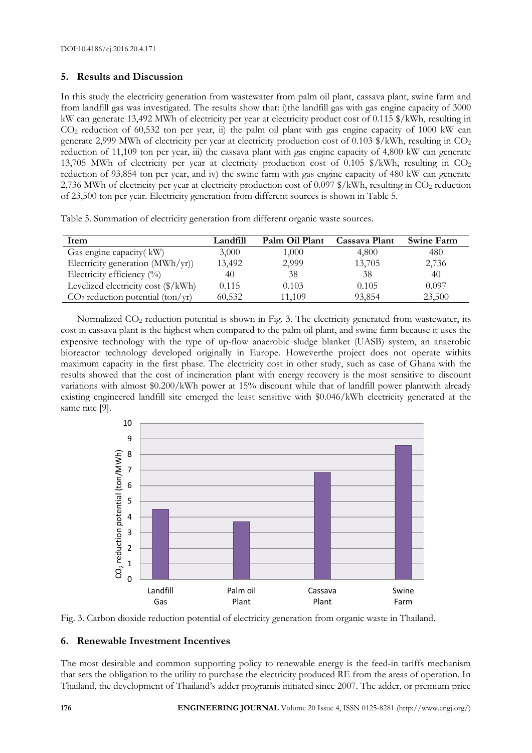#### **5. Results and Discussion**

In this study the electricity generation from wastewater from palm oil plant, cassava plant, swine farm and from landfill gas was investigated. The results show that: i)the landfill gas with gas engine capacity of 3000 kW can generate 13,492 MWh of electricity per year at electricity product cost of 0.115 \$/kWh, resulting in  $CO<sub>2</sub>$  reduction of 60,532 ton per year, ii) the palm oil plant with gas engine capacity of 1000 kW can generate 2,999 MWh of electricity per year at electricity production cost of 0.103 \$/kWh, resulting in CO<sub>2</sub> reduction of 11,109 ton per year, iii) the cassava plant with gas engine capacity of 4,800 kW can generate 13,705 MWh of electricity per year at electricity production cost of 0.105  $\frac{1}{8}$ /kWh, resulting in CO<sub>2</sub> reduction of 93,854 ton per year, and iv) the swine farm with gas engine capacity of 480 kW can generate 2,736 MWh of electricity per year at electricity production cost of 0.097  $\frac{8}{k}$ Wh, resulting in CO<sub>2</sub> reduction of 23,500 ton per year. Electricity generation from different sources is shown in Table 5.

Table 5. Summation of electricity generation from different organic waste sources.

| Item                                             | Landfill | Palm Oil Plant | Cassava Plant | <b>Swine Farm</b> |
|--------------------------------------------------|----------|----------------|---------------|-------------------|
| Gas engine capacity (kW)                         | 3,000    | 1,000          | 4,800         | 480               |
| Electricity generation $(MWh/yr)$ )              | 13,492   | 2,999          | 13,705        | 2,736             |
| Electricity efficiency $(^{0}_{0})$              | 40       | 38             | 38            | 40                |
| Levelized electricity cost $(\frac{1}{2} / kWh)$ | 0.115    | 0.103          | 0.105         | 0.097             |
| $CO2$ reduction potential (ton/yr)               | 60,532   | 11.109         | 93,854        | 23,500            |

Normalized CO<sub>2</sub> reduction potential is shown in Fig. 3. The electricity generated from wastewater, its cost in cassava plant is the highest when compared to the palm oil plant, and swine farm because it uses the expensive technology with the type of up-flow anaerobic sludge blanket (UASB) system, an anaerobic bioreactor technology developed originally in Europe. Howeverthe project does not operate withits maximum capacity in the first phase. The electricity cost in other study, such as case of Ghana with the results showed that the cost of incineration plant with energy recovery is the most sensitive to discount variations with almost \$0.200/kWh power at 15% discount while that of landfill power plantwith already existing engineered landfill site emerged the least sensitive with \$0.046/kWh electricity generated at the same rate [9].



Fig. 3. Carbon dioxide reduction potential of electricity generation from organic waste in Thailand.

#### **6. Renewable Investment Incentives**

The most desirable and common supporting policy to renewable energy is the feed-in tariffs mechanism that sets the obligation to the utility to purchase the electricity produced RE from the areas of operation. In Thailand, the development of Thailand's adder programis initiated since 2007. The adder, or premium price